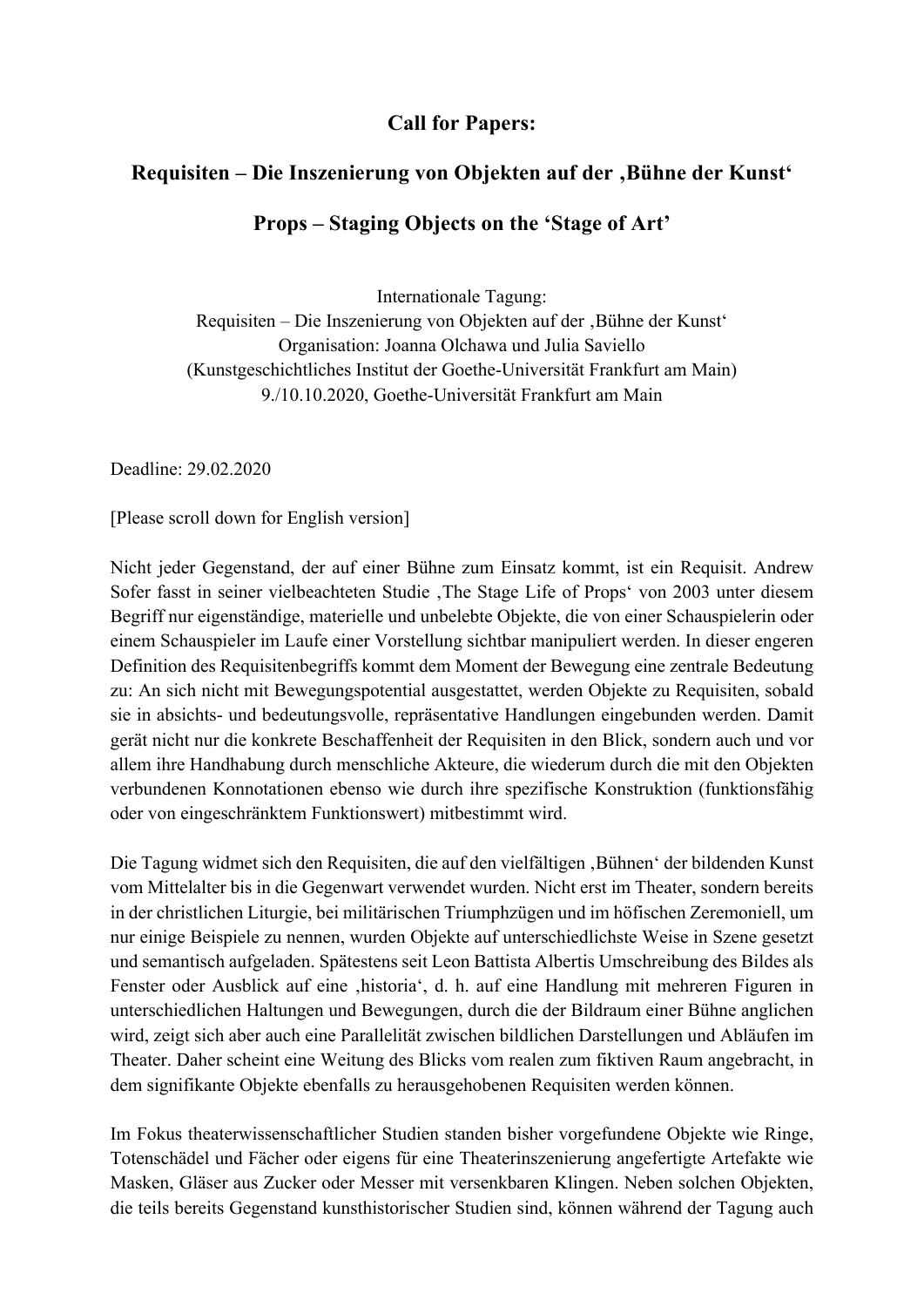## **Call for Papers:**

## **Requisiten – Die Inszenierung von Objekten auf der 'Bühne der Kunst' Props – Staging Objects on the 'Stage of Art'**

Internationale Tagung: Requisiten – Die Inszenierung von Objekten auf der , Bühne der Kunst' Organisation: Joanna Olchawa und Julia Saviello (Kunstgeschichtliches Institut der Goethe-Universität Frankfurt am Main) 9./10.10.2020, Goethe-Universität Frankfurt am Main

Deadline: 29.02.2020

[Please scroll down for English version]

Nicht jeder Gegenstand, der auf einer Bühne zum Einsatz kommt, ist ein Requisit. Andrew Sofer fasst in seiner vielbeachteten Studie , The Stage Life of Props' von 2003 unter diesem Begriff nur eigenständige, materielle und unbelebte Objekte, die von einer Schauspielerin oder einem Schauspieler im Laufe einer Vorstellung sichtbar manipuliert werden. In dieser engeren Definition des Requisitenbegriffs kommt dem Moment der Bewegung eine zentrale Bedeutung zu: An sich nicht mit Bewegungspotential ausgestattet, werden Objekte zu Requisiten, sobald sie in absichts- und bedeutungsvolle, repräsentative Handlungen eingebunden werden. Damit gerät nicht nur die konkrete Beschaffenheit der Requisiten in den Blick, sondern auch und vor allem ihre Handhabung durch menschliche Akteure, die wiederum durch die mit den Objekten verbundenen Konnotationen ebenso wie durch ihre spezifische Konstruktion (funktionsfähig oder von eingeschränktem Funktionswert) mitbestimmt wird.

Die Tagung widmet sich den Requisiten, die auf den vielfältigen "Bühnen' der bildenden Kunst vom Mittelalter bis in die Gegenwart verwendet wurden. Nicht erst im Theater, sondern bereits in der christlichen Liturgie, bei militärischen Triumphzügen und im höfischen Zeremoniell, um nur einige Beispiele zu nennen, wurden Objekte auf unterschiedlichste Weise in Szene gesetzt und semantisch aufgeladen. Spätestens seit Leon Battista Albertis Umschreibung des Bildes als Fenster oder Ausblick auf eine , historia', d. h. auf eine Handlung mit mehreren Figuren in unterschiedlichen Haltungen und Bewegungen, durch die der Bildraum einer Bühne anglichen wird, zeigt sich aber auch eine Parallelität zwischen bildlichen Darstellungen und Abläufen im Theater. Daher scheint eine Weitung des Blicks vom realen zum fiktiven Raum angebracht, in dem signifikante Objekte ebenfalls zu herausgehobenen Requisiten werden können.

Im Fokus theaterwissenschaftlicher Studien standen bisher vorgefundene Objekte wie Ringe, Totenschädel und Fächer oder eigens für eine Theaterinszenierung angefertigte Artefakte wie Masken, Gläser aus Zucker oder Messer mit versenkbaren Klingen. Neben solchen Objekten, die teils bereits Gegenstand kunsthistorischer Studien sind, können während der Tagung auch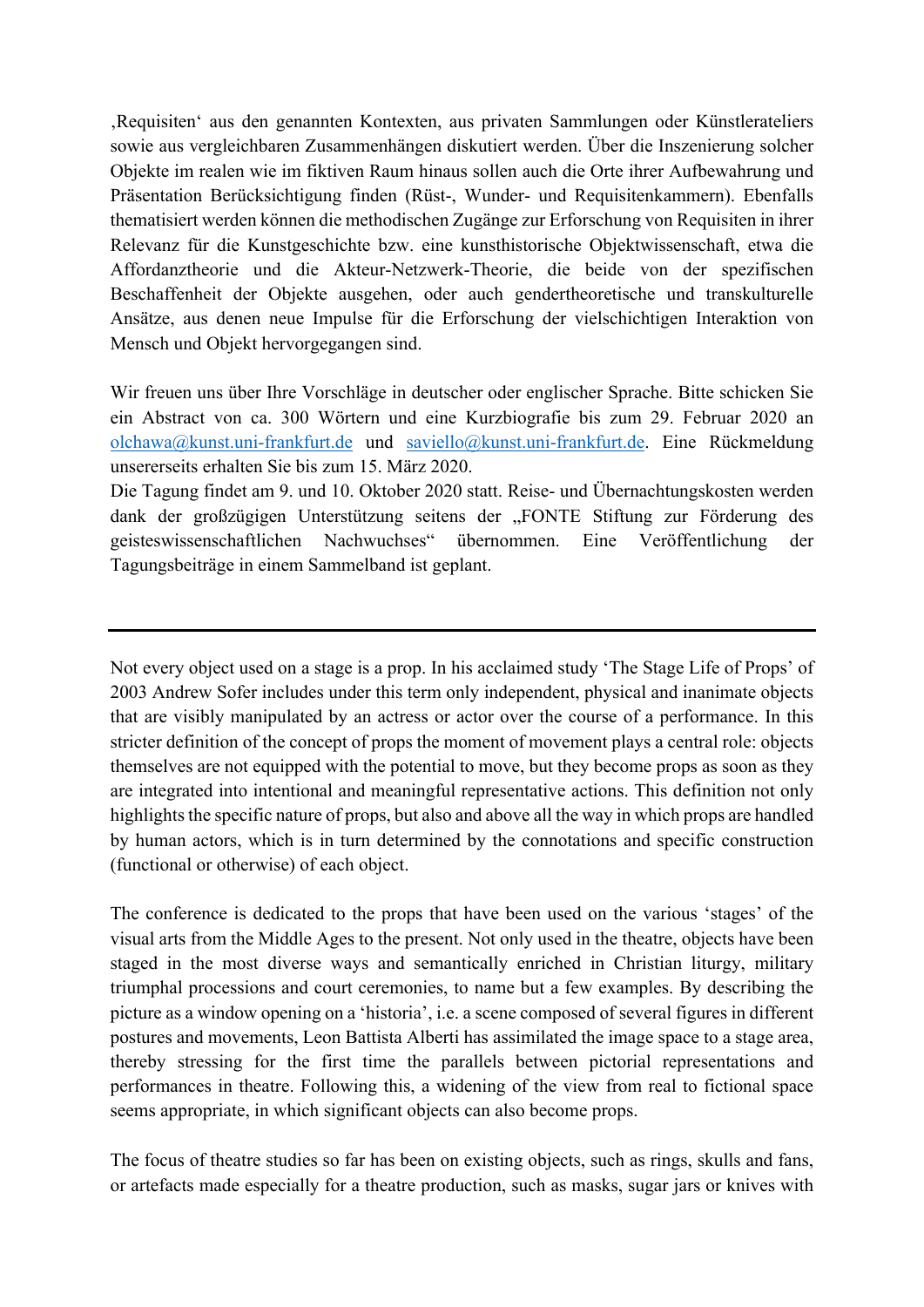'Requisiten' aus den genannten Kontexten, aus privaten Sammlungen oder Künstlerateliers sowie aus vergleichbaren Zusammenhängen diskutiert werden. Über die Inszenierung solcher Objekte im realen wie im fiktiven Raum hinaus sollen auch die Orte ihrer Aufbewahrung und Präsentation Berücksichtigung finden (Rüst-, Wunder- und Requisitenkammern). Ebenfalls thematisiert werden können die methodischen Zugänge zur Erforschung von Requisiten in ihrer Relevanz für die Kunstgeschichte bzw. eine kunsthistorische Objektwissenschaft, etwa die Affordanztheorie und die Akteur-Netzwerk-Theorie, die beide von der spezifischen Beschaffenheit der Objekte ausgehen, oder auch gendertheoretische und transkulturelle Ansätze, aus denen neue Impulse für die Erforschung der vielschichtigen Interaktion von Mensch und Objekt hervorgegangen sind.

Wir freuen uns über Ihre Vorschläge in deutscher oder englischer Sprache. Bitte schicken Sie ein Abstract von ca. 300 Wörtern und eine Kurzbiografie bis zum 29. Februar 2020 an olchawa@kunst.uni-frankfurt.de und saviello@kunst.uni-frankfurt.de. Eine Rückmeldung unsererseits erhalten Sie bis zum 15. März 2020.

Die Tagung findet am 9. und 10. Oktober 2020 statt. Reise- und Übernachtungskosten werden dank der großzügigen Unterstützung seitens der "FONTE Stiftung zur Förderung des geisteswissenschaftlichen Nachwuchses" übernommen. Eine Veröffentlichung der Tagungsbeiträge in einem Sammelband ist geplant.

Not every object used on a stage is a prop. In his acclaimed study 'The Stage Life of Props' of 2003 Andrew Sofer includes under this term only independent, physical and inanimate objects that are visibly manipulated by an actress or actor over the course of a performance. In this stricter definition of the concept of props the moment of movement plays a central role: objects themselves are not equipped with the potential to move, but they become props as soon as they are integrated into intentional and meaningful representative actions. This definition not only highlights the specific nature of props, but also and above all the way in which props are handled by human actors, which is in turn determined by the connotations and specific construction (functional or otherwise) of each object.

The conference is dedicated to the props that have been used on the various 'stages' of the visual arts from the Middle Ages to the present. Not only used in the theatre, objects have been staged in the most diverse ways and semantically enriched in Christian liturgy, military triumphal processions and court ceremonies, to name but a few examples. By describing the picture as a window opening on a 'historia', i.e. a scene composed of several figures in different postures and movements, Leon Battista Alberti has assimilated the image space to a stage area, thereby stressing for the first time the parallels between pictorial representations and performances in theatre. Following this, a widening of the view from real to fictional space seems appropriate, in which significant objects can also become props.

The focus of theatre studies so far has been on existing objects, such as rings, skulls and fans, or artefacts made especially for a theatre production, such as masks, sugar jars or knives with